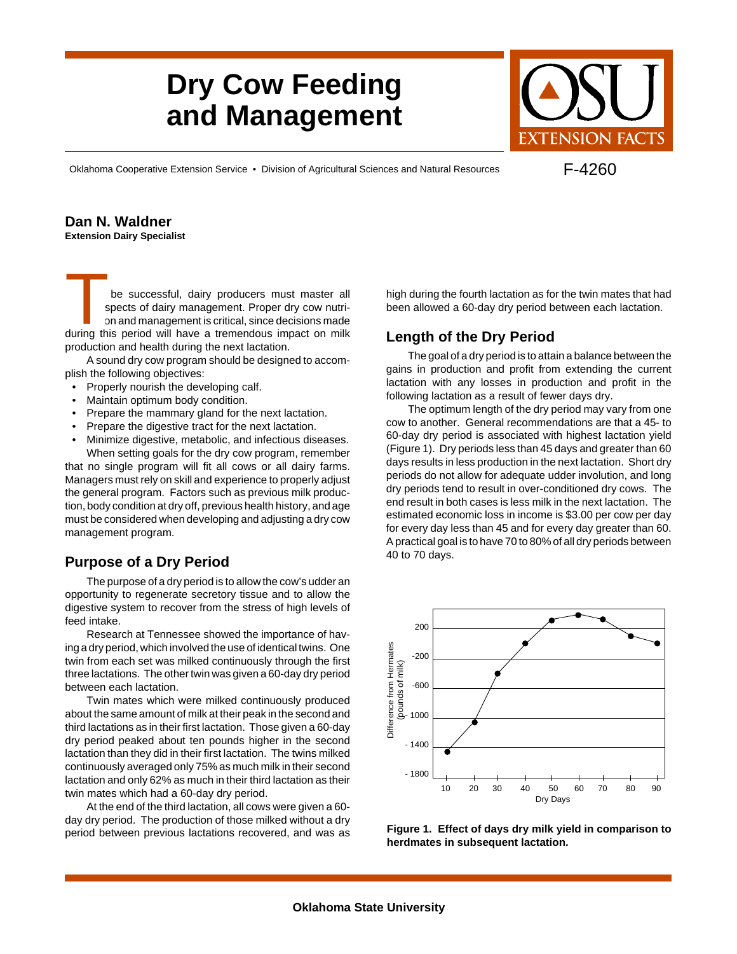# **Dry Cow Feeding and Management**



Oklahoma Cooperative Extension Service • Division of Agricultural Sciences and Natural Resources

F-4260

#### **Dan N. Waldner Extension Dairy Specialist**

be successful, dairy producers must master all spects of dairy management. Proper dry cow nutrion and management is critical, since decisions made during this period will have a tremendous impact on milk<br>during this period will have a tremendous impact on milk<br>during this period will have a tremendous impact on milk production and health during the next lactation.

A sound dry cow program should be designed to accomplish the following objectives:

- Properly nourish the developing calf.
- Maintain optimum body condition.
- Prepare the mammary gland for the next lactation.
- Prepare the digestive tract for the next lactation.
- Minimize digestive, metabolic, and infectious diseases. When setting goals for the dry cow program, remember

that no single program will fit all cows or all dairy farms. Managers must rely on skill and experience to properly adjust the general program. Factors such as previous milk production, body condition at dry off, previous health history, and age must be considered when developing and adjusting a dry cow management program.

## **Purpose of a Dry Period**

The purpose of a dry period is to allow the cow's udder an opportunity to regenerate secretory tissue and to allow the digestive system to recover from the stress of high levels of feed intake.

Research at Tennessee showed the importance of having a dry period, which involved the use of identical twins. One twin from each set was milked continuously through the first three lactations. The other twin was given a 60-day dry period between each lactation.

Twin mates which were milked continuously produced about the same amount of milk at their peak in the second and third lactations as in their first lactation. Those given a 60-day dry period peaked about ten pounds higher in the second lactation than they did in their first lactation. The twins milked continuously averaged only 75% as much milk in their second lactation and only 62% as much in their third lactation as their twin mates which had a 60-day dry period.

At the end of the third lactation, all cows were given a 60 day dry period. The production of those milked without a dry period between previous lactations recovered, and was as

high during the fourth lactation as for the twin mates that had been allowed a 60-day dry period between each lactation.

## **Length of the Dry Period**

The goal of a dry period is to attain a balance between the gains in production and profit from extending the current lactation with any losses in production and profit in the following lactation as a result of fewer days dry.

The optimum length of the dry period may vary from one cow to another. General recommendations are that a 45- to 60-day dry period is associated with highest lactation yield (Figure 1). Dry periods less than 45 days and greater than 60 days results in less production in the next lactation. Short dry periods do not allow for adequate udder involution, and long dry periods tend to result in over-conditioned dry cows. The end result in both cases is less milk in the next lactation. The estimated economic loss in income is \$3.00 per cow per day for every day less than 45 and for every day greater than 60. A practical goal is to have 70 to 80% of all dry periods between 40 to 70 days.



**Figure 1. Effect of days dry milk yield in comparison to herdmates in subsequent lactation.**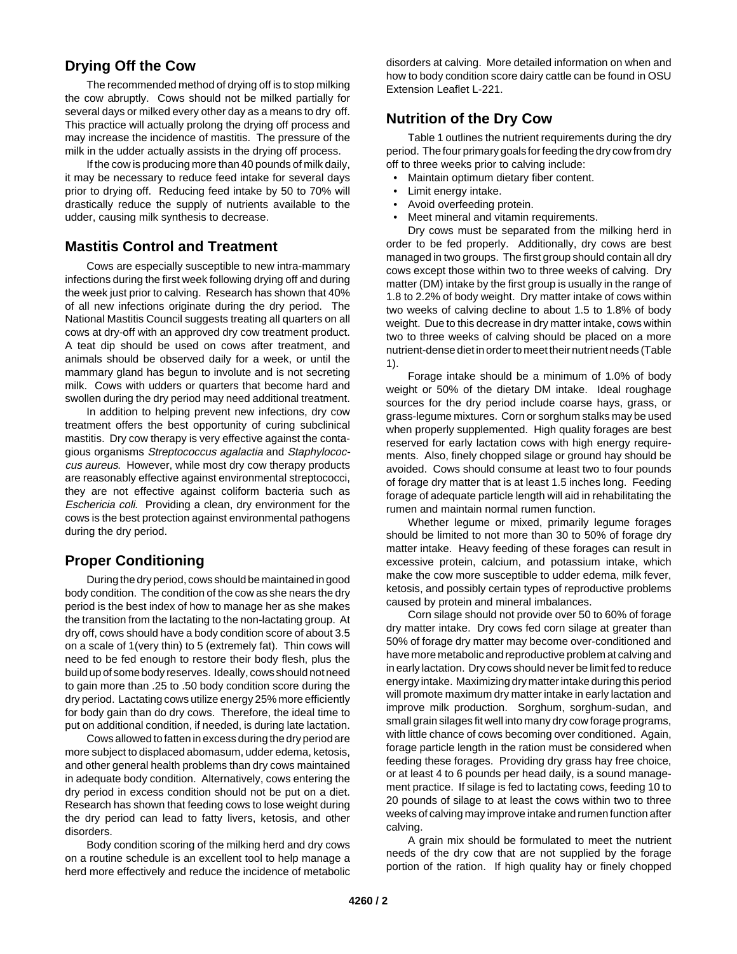## **Drying Off the Cow**

The recommended method of drying off is to stop milking the cow abruptly. Cows should not be milked partially for several days or milked every other day as a means to dry off. This practice will actually prolong the drying off process and may increase the incidence of mastitis. The pressure of the milk in the udder actually assists in the drying off process.

If the cow is producing more than 40 pounds of milk daily, it may be necessary to reduce feed intake for several days prior to drying off. Reducing feed intake by 50 to 70% will drastically reduce the supply of nutrients available to the udder, causing milk synthesis to decrease.

### **Mastitis Control and Treatment**

Cows are especially susceptible to new intra-mammary infections during the first week following drying off and during the week just prior to calving. Research has shown that 40% of all new infections originate during the dry period. The National Mastitis Council suggests treating all quarters on all cows at dry-off with an approved dry cow treatment product. A teat dip should be used on cows after treatment, and animals should be observed daily for a week, or until the mammary gland has begun to involute and is not secreting milk. Cows with udders or quarters that become hard and swollen during the dry period may need additional treatment.

In addition to helping prevent new infections, dry cow treatment offers the best opportunity of curing subclinical mastitis. Dry cow therapy is very effective against the contagious organisms Streptococcus agalactia and Staphylococcus aureus. However, while most dry cow therapy products are reasonably effective against environmental streptococci, they are not effective against coliform bacteria such as Eschericia coli. Providing a clean, dry environment for the cows is the best protection against environmental pathogens during the dry period.

### **Proper Conditioning**

During the dry period, cows should be maintained in good body condition. The condition of the cow as she nears the dry period is the best index of how to manage her as she makes the transition from the lactating to the non-lactating group. At dry off, cows should have a body condition score of about 3.5 on a scale of 1(very thin) to 5 (extremely fat). Thin cows will need to be fed enough to restore their body flesh, plus the build up of some body reserves. Ideally, cows should not need to gain more than .25 to .50 body condition score during the dry period. Lactating cows utilize energy 25% more efficiently for body gain than do dry cows. Therefore, the ideal time to put on additional condition, if needed, is during late lactation.

Cows allowed to fatten in excess during the dry period are more subject to displaced abomasum, udder edema, ketosis, and other general health problems than dry cows maintained in adequate body condition. Alternatively, cows entering the dry period in excess condition should not be put on a diet. Research has shown that feeding cows to lose weight during the dry period can lead to fatty livers, ketosis, and other disorders.

Body condition scoring of the milking herd and dry cows on a routine schedule is an excellent tool to help manage a herd more effectively and reduce the incidence of metabolic

disorders at calving. More detailed information on when and how to body condition score dairy cattle can be found in OSU Extension Leaflet L-221.

### **Nutrition of the Dry Cow**

Table 1 outlines the nutrient requirements during the dry period. The four primary goals for feeding the dry cow from dry off to three weeks prior to calving include:

- Maintain optimum dietary fiber content.
- Limit energy intake.
- Avoid overfeeding protein.
- Meet mineral and vitamin requirements.

Dry cows must be separated from the milking herd in order to be fed properly. Additionally, dry cows are best managed in two groups. The first group should contain all dry cows except those within two to three weeks of calving. Dry matter (DM) intake by the first group is usually in the range of 1.8 to 2.2% of body weight. Dry matter intake of cows within two weeks of calving decline to about 1.5 to 1.8% of body weight. Due to this decrease in dry matter intake, cows within two to three weeks of calving should be placed on a more nutrient-dense diet in order to meet their nutrient needs (Table 1).

Forage intake should be a minimum of 1.0% of body weight or 50% of the dietary DM intake. Ideal roughage sources for the dry period include coarse hays, grass, or grass-legume mixtures. Corn or sorghum stalks may be used when properly supplemented. High quality forages are best reserved for early lactation cows with high energy requirements. Also, finely chopped silage or ground hay should be avoided. Cows should consume at least two to four pounds of forage dry matter that is at least 1.5 inches long. Feeding forage of adequate particle length will aid in rehabilitating the rumen and maintain normal rumen function.

Whether legume or mixed, primarily legume forages should be limited to not more than 30 to 50% of forage dry matter intake. Heavy feeding of these forages can result in excessive protein, calcium, and potassium intake, which make the cow more susceptible to udder edema, milk fever, ketosis, and possibly certain types of reproductive problems caused by protein and mineral imbalances.

Corn silage should not provide over 50 to 60% of forage dry matter intake. Dry cows fed corn silage at greater than 50% of forage dry matter may become over-conditioned and have more metabolic and reproductive problem at calving and in early lactation. Dry cows should never be limit fed to reduce energy intake. Maximizing dry matter intake during this period will promote maximum dry matter intake in early lactation and improve milk production. Sorghum, sorghum-sudan, and small grain silages fit well into many dry cow forage programs, with little chance of cows becoming over conditioned. Again, forage particle length in the ration must be considered when feeding these forages. Providing dry grass hay free choice, or at least 4 to 6 pounds per head daily, is a sound management practice. If silage is fed to lactating cows, feeding 10 to 20 pounds of silage to at least the cows within two to three weeks of calving may improve intake and rumen function after calving.

A grain mix should be formulated to meet the nutrient needs of the dry cow that are not supplied by the forage portion of the ration. If high quality hay or finely chopped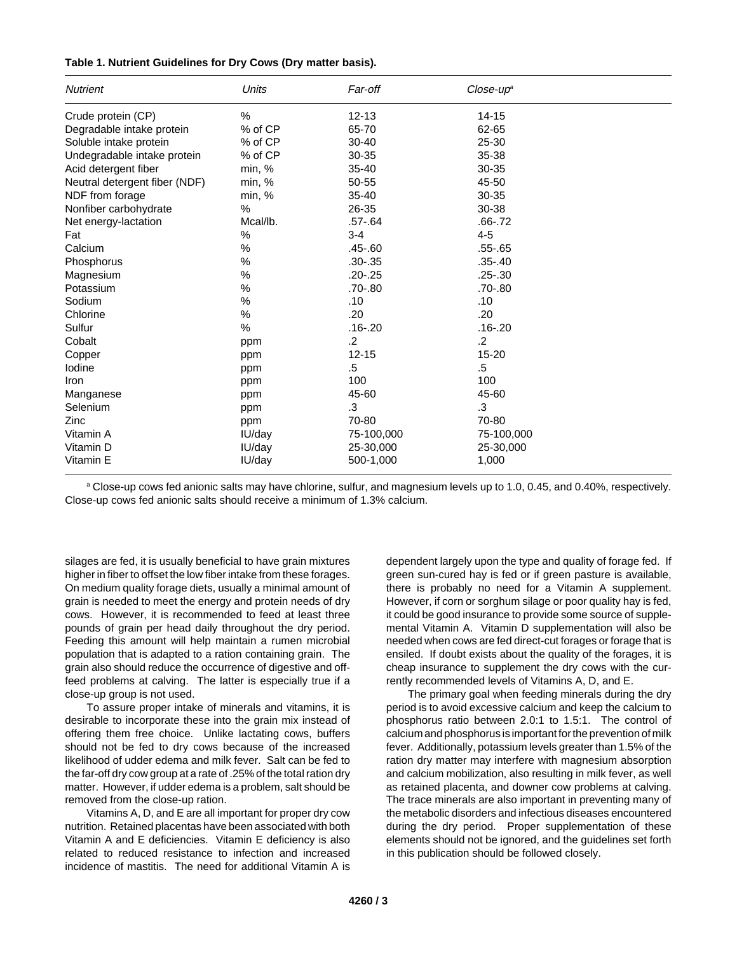| Table 1. Nutrient Guidelines for Dry Cows (Dry matter basis). |  |  |
|---------------------------------------------------------------|--|--|
|---------------------------------------------------------------|--|--|

| <b>Nutrient</b>               | <b>Units</b> | Far-off     | $Close-upa$ |  |
|-------------------------------|--------------|-------------|-------------|--|
| Crude protein (CP)            | $\%$         | $12 - 13$   | $14 - 15$   |  |
| Degradable intake protein     | % of CP      | 65-70       | 62-65       |  |
| Soluble intake protein        | % of CP      | $30 - 40$   | 25-30       |  |
| Undegradable intake protein   | % of CP      | 30-35       | 35-38       |  |
| Acid detergent fiber          | min, %       | 35-40       | 30-35       |  |
| Neutral detergent fiber (NDF) | min, %       | 50-55       | 45-50       |  |
| NDF from forage               | min, %       | $35 - 40$   | 30-35       |  |
| Nonfiber carbohydrate         | %            | 26-35       | 30-38       |  |
| Net energy-lactation          | Mcal/lb.     | $.57 - .64$ | $.66 - .72$ |  |
| Fat                           | %            | $3 - 4$     | $4 - 5$     |  |
| Calcium                       | %            | $.45 - .60$ | $.55 - .65$ |  |
| Phosphorus                    | %            | $.30 - .35$ | $.35 - .40$ |  |
| Magnesium                     | $\%$         | $.20 - .25$ | $.25 - .30$ |  |
| Potassium                     | %            | .70-.80     | $.70 - .80$ |  |
| Sodium                        | %            | .10         | .10         |  |
| Chlorine                      | $\%$         | .20         | .20         |  |
| Sulfur                        | $\%$         | $.16 - .20$ | $.16 - .20$ |  |
| Cobalt                        | ppm          | $\cdot$     | $\cdot$     |  |
| Copper                        | ppm          | $12 - 15$   | $15 - 20$   |  |
| lodine                        | ppm          | .5          | .5          |  |
| Iron                          | ppm          | 100         | 100         |  |
| Manganese                     | ppm          | 45-60       | 45-60       |  |
| Selenium                      | ppm          | $\cdot$ 3   | .3          |  |
| Zinc                          | ppm          | 70-80       | 70-80       |  |
| Vitamin A                     | IU/day       | 75-100,000  | 75-100,000  |  |
| Vitamin D                     | IU/day       | 25-30,000   | 25-30,000   |  |
| Vitamin E                     | IU/day       | 500-1,000   | 1,000       |  |

a Close-up cows fed anionic salts may have chlorine, sulfur, and magnesium levels up to 1.0, 0.45, and 0.40%, respectively. Close-up cows fed anionic salts should receive a minimum of 1.3% calcium.

silages are fed, it is usually beneficial to have grain mixtures higher in fiber to offset the low fiber intake from these forages. On medium quality forage diets, usually a minimal amount of grain is needed to meet the energy and protein needs of dry cows. However, it is recommended to feed at least three pounds of grain per head daily throughout the dry period. Feeding this amount will help maintain a rumen microbial population that is adapted to a ration containing grain. The grain also should reduce the occurrence of digestive and offfeed problems at calving. The latter is especially true if a close-up group is not used.

To assure proper intake of minerals and vitamins, it is desirable to incorporate these into the grain mix instead of offering them free choice. Unlike lactating cows, buffers should not be fed to dry cows because of the increased likelihood of udder edema and milk fever. Salt can be fed to the far-off dry cow group at a rate of .25% of the total ration dry matter. However, if udder edema is a problem, salt should be removed from the close-up ration.

Vitamins A, D, and E are all important for proper dry cow nutrition. Retained placentas have been associated with both Vitamin A and E deficiencies. Vitamin E deficiency is also related to reduced resistance to infection and increased incidence of mastitis. The need for additional Vitamin A is

dependent largely upon the type and quality of forage fed. If green sun-cured hay is fed or if green pasture is available, there is probably no need for a Vitamin A supplement. However, if corn or sorghum silage or poor quality hay is fed, it could be good insurance to provide some source of supplemental Vitamin A. Vitamin D supplementation will also be needed when cows are fed direct-cut forages or forage that is ensiled. If doubt exists about the quality of the forages, it is cheap insurance to supplement the dry cows with the currently recommended levels of Vitamins A, D, and E.

The primary goal when feeding minerals during the dry period is to avoid excessive calcium and keep the calcium to phosphorus ratio between 2.0:1 to 1.5:1. The control of calcium and phosphorus is important for the prevention of milk fever. Additionally, potassium levels greater than 1.5% of the ration dry matter may interfere with magnesium absorption and calcium mobilization, also resulting in milk fever, as well as retained placenta, and downer cow problems at calving. The trace minerals are also important in preventing many of the metabolic disorders and infectious diseases encountered during the dry period. Proper supplementation of these elements should not be ignored, and the guidelines set forth in this publication should be followed closely.